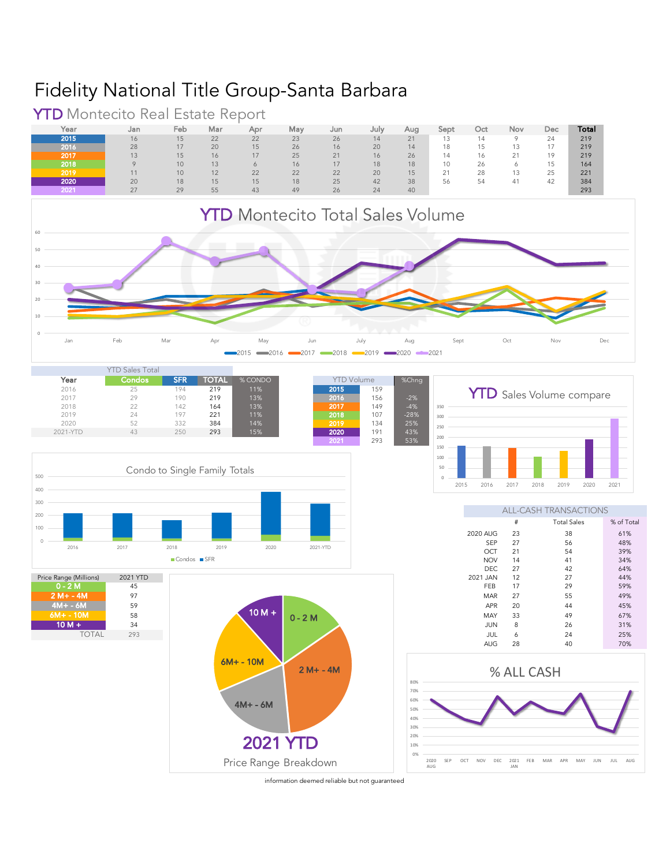## Fidelity National Title Group-Santa Barbara



Year Jan Feb Mar Apr May Jun July Aug Sept Oct Nov Dec **Total 2015** 16 15 22 22 23 26 14 21 13 14 9 24 219

**YTD** Montecito Real Estate Report<br>
Year Jan Feb Mar Apr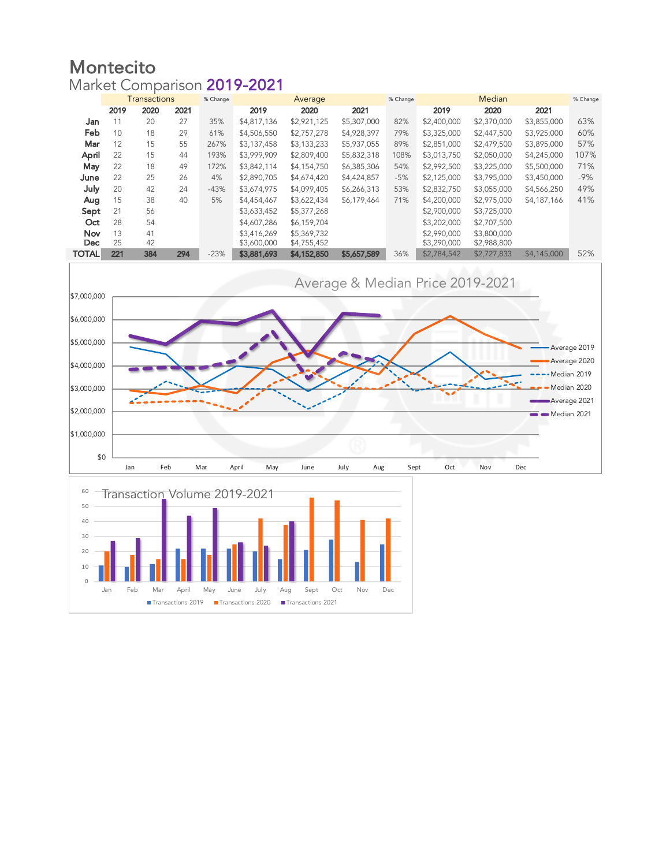## Montecito Market Comparison 2019-2021

|                   | <b>Transactions</b> |          |      | % Change<br>Average |                            |                            |             | % Change |                            | % Change                   |             |       |
|-------------------|---------------------|----------|------|---------------------|----------------------------|----------------------------|-------------|----------|----------------------------|----------------------------|-------------|-------|
|                   | 2019                | 2020     | 2021 |                     | 2019                       | 2020                       | 2021        |          | 2019                       | 2020                       | 2021        |       |
| Jan               | 11                  | 20       | 27   | 35%                 | \$4,817,136                | \$2,921,125                | \$5,307,000 | 82%      | \$2,400,000                | \$2,370,000                | \$3,855,000 | 63%   |
| Feb               | 10                  | 18       | 29   | 61%                 | \$4,506,550                | \$2,757,278                | \$4,928,397 | 79%      | \$3,325,000                | \$2,447,500                | \$3,925,000 | 60%   |
| Mar               | 12                  | 15       | 55   | 267%                | \$3,137,458                | \$3,133,233                | \$5,937,055 | 89%      | \$2,851,000                | \$2,479,500                | \$3,895,000 | 57%   |
| April             | 22                  | 15       | 44   | 193%                | \$3,999,909                | \$2,809,400                | \$5,832,318 | 108%     | \$3,013,750                | \$2,050,000                | \$4,245,000 | 107%  |
| May               | 22                  | 18       | 49   | 172%                | \$3,842,114                | \$4,154,750                | \$6,385,306 | 54%      | \$2,992,500                | \$3,225,000                | \$5,500,000 | 71%   |
| June              | 22                  | 25       | 26   | 4%                  | \$2,890,705                | \$4,674,420                | \$4,424,857 | $-5%$    | \$2,125,000                | \$3,795,000                | \$3,450,000 | $-9%$ |
| July              | 20                  | 42       | 24   | $-43%$              | \$3,674,975                | \$4,099,405                | \$6,266,313 | 53%      | \$2,832,750                | \$3,055,000                | \$4,566,250 | 49%   |
| Aug               | 15                  | 38       | 40   | 5%                  | \$4,454,467                | \$3,622,434                | \$6,179,464 | 71%      | \$4,200,000                | \$2,975,000                | \$4,187,166 | 41%   |
| Sept              | 21                  | 56       |      |                     | \$3,633,452                | \$5,377,268                |             |          | \$2,900,000                | \$3,725,000                |             |       |
| Oct               | 28                  | 54       |      |                     | \$4,607,286                | \$6,159,704                |             |          | \$3,202,000                | \$2,707,500                |             |       |
| Nov<br><b>Dec</b> | 13<br>25            | 41<br>42 |      |                     | \$3,416,269<br>\$3,600,000 | \$5,369,732<br>\$4,755,452 |             |          | \$2,990,000<br>\$3,290,000 | \$3,800,000<br>\$2,988,800 |             |       |
| <b>TOTAL</b>      | 221                 | 384      | 294  | $-23%$              | \$3,881,693                | \$4,152,850                | \$5,657,589 | 36%      | \$2,784,542                | \$2,727,833                | \$4,145,000 | 52%   |